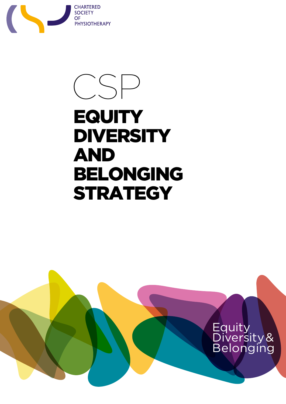

# CSP **EQUITY DIVERSITY** and Belonging **STRATEGY**

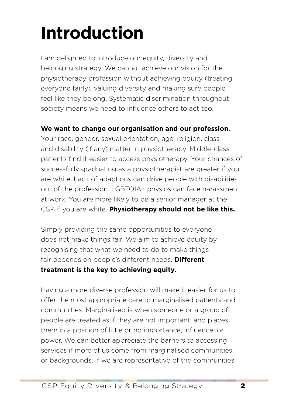# **Introduction**

I am delighted to introduce our equity, diversity and belonging strategy. We cannot achieve our vision for the physiotherapy profession without achieving equity (treating everyone fairly), valuing diversity and making sure people feel like they belong. Systematic discrimination throughout society means we need to influence others to act too.

#### **We want to change our organisation and our profession.**

Your race, gender, sexual orientation, age, religion, class and disability (if any) matter in physiotherapy. Middle-class patients find it easier to access physiotherapy. Your chances of successfully graduating as a physiotherapist are greater if you are white. Lack of adaptions can drive people with disabilities out of the profession. LGBTQIA+ physios can face harassment at work. You are more likely to be a senior manager at the CSP if you are white. **Physiotherapy should not be like this.**

Simply providing the same opportunities to everyone does not make things fair. We aim to achieve equity by recognising that what we need to do to make things fair depends on people's different needs. **Different treatment is the key to achieving equity.**

Having a more diverse profession will make it easier for us to offer the most appropriate care to marginalised patients and communities. Marginalised is when someone or a group of people are treated as if they are not important; and places them in a position of little or no importance, influence, or power. We can better appreciate the barriers to accessing services if more of us come from marginalised communities or backgrounds. If we are representative of the communities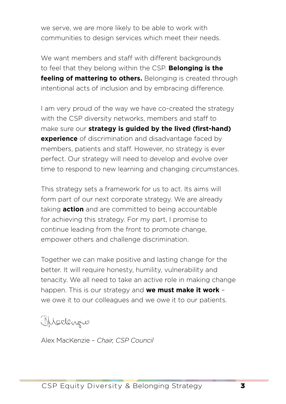we serve, we are more likely to be able to work with communities to design services which meet their needs.

We want members and staff with different backgrounds to feel that they belong within the CSP. **Belonging is the feeling of mattering to others.** Belonging is created through intentional acts of inclusion and by embracing difference.

I am very proud of the way we have co-created the strategy with the CSP diversity networks, members and staff to make sure our **strategy is guided by the lived (first-hand) experience** of discrimination and disadvantage faced by members, patients and staff. However, no strategy is ever perfect. Our strategy will need to develop and evolve over time to respond to new learning and changing circumstances.

This strategy sets a framework for us to act. Its aims will form part of our next corporate strategy. We are already taking **action** and are committed to being accountable for achieving this strategy. For my part, I promise to continue leading from the front to promote change, empower others and challenge discrimination.

Together we can make positive and lasting change for the better. It will require honesty, humility, vulnerability and tenacity. We all need to take an active role in making change happen. This is our strategy and **we must make it work** – we owe it to our colleagues and we owe it to our patients.

Medergie

Alex MacKenzie – *Chair, CSP Council*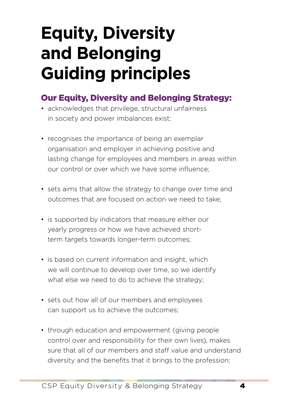# **Equity, Diversity and Belonging Guiding principles**

### Our Equity, Diversity and Belonging Strategy:

- acknowledges that privilege, structural unfairness in society and power imbalances exist;
- recognises the importance of being an exemplar organisation and employer in achieving positive and lasting change for employees and members in areas within our control or over which we have some influence;
- sets aims that allow the strategy to change over time and outcomes that are focused on action we need to take;
- is supported by indicators that measure either our yearly progress or how we have achieved shortterm targets towards longer-term outcomes;
- is based on current information and insight, which we will continue to develop over time, so we identify what else we need to do to achieve the strategy;
- sets out how all of our members and employees can support us to achieve the outcomes;
- through education and empowerment (giving people control over and responsibility for their own lives), makes sure that all of our members and staff value and understand diversity and the benefits that it brings to the profession;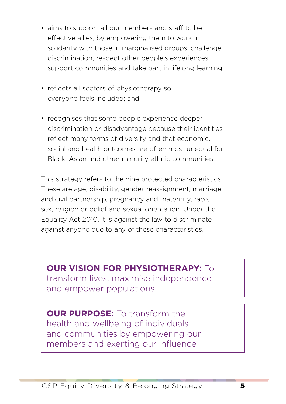- aims to support all our members and staff to be effective allies, by empowering them to work in solidarity with those in marginalised groups, challenge discrimination, respect other people's experiences, support communities and take part in lifelong learning;
- reflects all sectors of physiotherapy so everyone feels included; and
- recognises that some people experience deeper discrimination or disadvantage because their identities reflect many forms of diversity and that economic, social and health outcomes are often most unequal for Black, Asian and other minority ethnic communities.

This strategy refers to the nine protected characteristics. These are age, disability, gender reassignment, marriage and civil partnership, pregnancy and maternity, race, sex, religion or belief and sexual orientation. Under the Equality Act 2010, it is against the law to discriminate against anyone due to any of these characteristics.

**OUR VISION FOR PHYSIOTHERAPY:** To transform lives, maximise independence and empower populations

**OUR PURPOSE:** To transform the health and wellbeing of individuals and communities by empowering our members and exerting our influence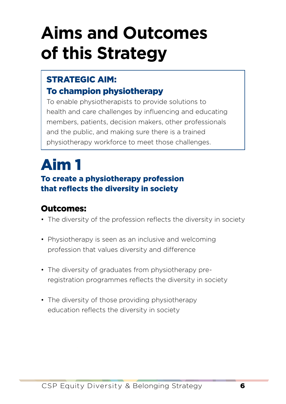# **Aims and Outcomes of this Strategy**

#### STRATEGIC AIM: To champion physiotherapy

To enable physiotherapists to provide solutions to health and care challenges by influencing and educating members, patients, decision makers, other professionals and the public, and making sure there is a trained physiotherapy workforce to meet those challenges.

### Aim 1 To create a physiotherapy profession that reflects the diversity in society

- The diversity of the profession reflects the diversity in society
- Physiotherapy is seen as an inclusive and welcoming profession that values diversity and difference
- The diversity of graduates from physiotherapy preregistration programmes reflects the diversity in society
- The diversity of those providing physiotherapy education reflects the diversity in society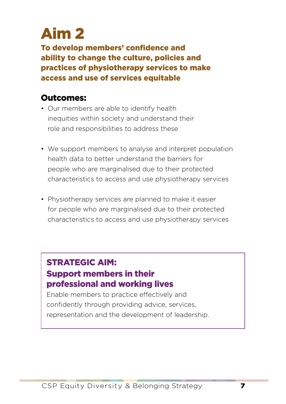To develop members' confidence and ability to change the culture, policies and practices of physiotherapy services to make access and use of services equitable

#### Outcomes:

- Our members are able to identify health inequities within society and understand their role and responsibilities to address these
- We support members to analyse and interpret population health data to better understand the barriers for people who are marginalised due to their protected characteristics to access and use physiotherapy services
- Physiotherapy services are planned to make it easier for people who are marginalised due to their protected characteristics to access and use physiotherapy services

#### STRATEGIC AIM: Support members in their professional and working lives

Enable members to practice effectively and confidently through providing advice, services, representation and the development of leadership.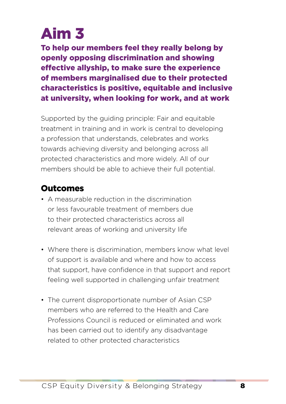To help our members feel they really belong by openly opposing discrimination and showing effective allyship, to make sure the experience of members marginalised due to their protected characteristics is positive, equitable and inclusive at university, when looking for work, and at work

Supported by the guiding principle: Fair and equitable treatment in training and in work is central to developing a profession that understands, celebrates and works towards achieving diversity and belonging across all protected characteristics and more widely. All of our members should be able to achieve their full potential.

- A measurable reduction in the discrimination or less favourable treatment of members due to their protected characteristics across all relevant areas of working and university life
- Where there is discrimination, members know what level of support is available and where and how to access that support, have confidence in that support and report feeling well supported in challenging unfair treatment
- The current disproportionate number of Asian CSP members who are referred to the Health and Care Professions Council is reduced or eliminated and work has been carried out to identify any disadvantage related to other protected characteristics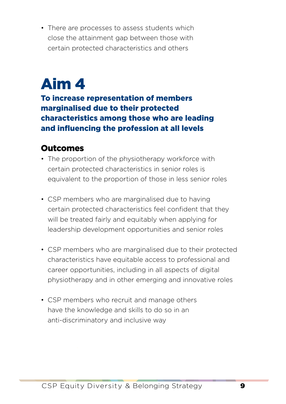• There are processes to assess students which close the attainment gap between those with certain protected characteristics and others

## Aim 4

To increase representation of members marginalised due to their protected characteristics among those who are leading and influencing the profession at all levels

- The proportion of the physiotherapy workforce with certain protected characteristics in senior roles is equivalent to the proportion of those in less senior roles
- CSP members who are marginalised due to having certain protected characteristics feel confident that they will be treated fairly and equitably when applying for leadership development opportunities and senior roles
- CSP members who are marginalised due to their protected characteristics have equitable access to professional and career opportunities, including in all aspects of digital physiotherapy and in other emerging and innovative roles
- CSP members who recruit and manage others have the knowledge and skills to do so in an anti-discriminatory and inclusive way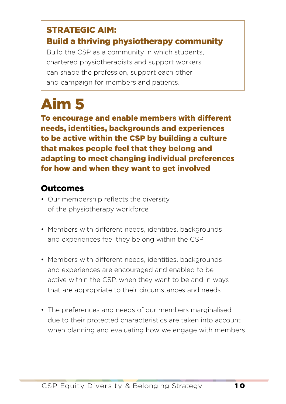### STRATEGIC AIM:

#### Build a thriving physiotherapy community

Build the CSP as a community in which students, chartered physiotherapists and support workers can shape the profession, support each other and campaign for members and patients.

### Aim 5

To encourage and enable members with different needs, identities, backgrounds and experiences to be active within the CSP by building a culture that makes people feel that they belong and adapting to meet changing individual preferences for how and when they want to get involved

- Our membership reflects the diversity of the physiotherapy workforce
- Members with different needs, identities, backgrounds and experiences feel they belong within the CSP
- Members with different needs, identities, backgrounds and experiences are encouraged and enabled to be active within the CSP, when they want to be and in ways that are appropriate to their circumstances and needs
- The preferences and needs of our members marginalised due to their protected characteristics are taken into account when planning and evaluating how we engage with members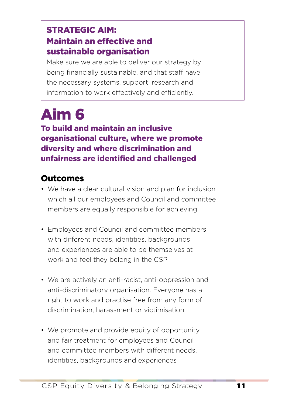### STRATEGIC AIM: Maintain an effective and sustainable organisation

Make sure we are able to deliver our strategy by being financially sustainable, and that staff have the necessary systems, support, research and information to work effectively and efficiently.

# Aim 6

To build and maintain an inclusive organisational culture, where we promote diversity and where discrimination and unfairness are identified and challenged

- We have a clear cultural vision and plan for inclusion which all our employees and Council and committee members are equally responsible for achieving
- Employees and Council and committee members with different needs, identities, backgrounds and experiences are able to be themselves at work and feel they belong in the CSP
- We are actively an anti-racist, anti-oppression and anti-discriminatory organisation. Everyone has a right to work and practise free from any form of discrimination, harassment or victimisation
- We promote and provide equity of opportunity and fair treatment for employees and Council and committee members with different needs, identities, backgrounds and experiences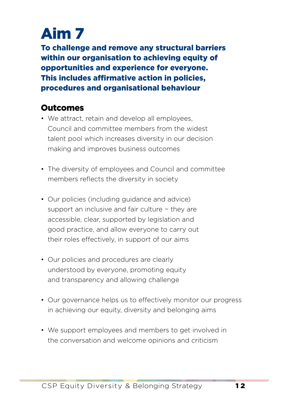To challenge and remove any structural barriers within our organisation to achieving equity of opportunities and experience for everyone. This includes affirmative action in policies, procedures and organisational behaviour

- We attract, retain and develop all employees, Council and committee members from the widest talent pool which increases diversity in our decision making and improves business outcomes
- The diversity of employees and Council and committee members reflects the diversity in society
- Our policies (including guidance and advice) support an inclusive and fair culture − they are accessible, clear, supported by legislation and good practice, and allow everyone to carry out their roles effectively, in support of our aims
- Our policies and procedures are clearly understood by everyone, promoting equity and transparency and allowing challenge
- Our governance helps us to effectively monitor our progress in achieving our equity, diversity and belonging aims
- We support employees and members to get involved in the conversation and welcome opinions and criticism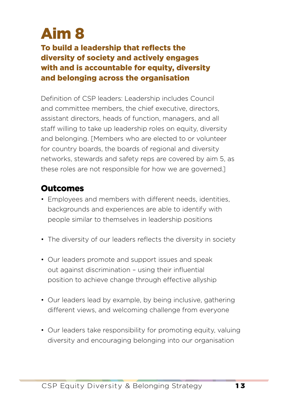#### To build a leadership that reflects the diversity of society and actively engages with and is accountable for equity, diversity and belonging across the organisation

Definition of CSP leaders: Leadership includes Council and committee members, the chief executive, directors, assistant directors, heads of function, managers, and all staff willing to take up leadership roles on equity, diversity and belonging. [Members who are elected to or volunteer for country boards, the boards of regional and diversity networks, stewards and safety reps are covered by aim 5, as these roles are not responsible for how we are governed.]

- Employees and members with different needs, identities, backgrounds and experiences are able to identify with people similar to themselves in leadership positions
- The diversity of our leaders reflects the diversity in society
- Our leaders promote and support issues and speak out against discrimination – using their influential position to achieve change through effective allyship
- Our leaders lead by example, by being inclusive, gathering different views, and welcoming challenge from everyone
- Our leaders take responsibility for promoting equity, valuing diversity and encouraging belonging into our organisation